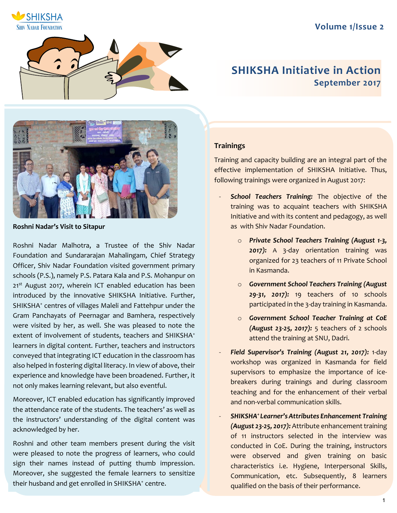# **Volume 1/Issue 2**





# **SHIKSHA Initiative in Action September 2017**



**Roshni Nadar's Visit to Sitapur** 

Roshni Nadar Malhotra, a Trustee of the Shiv Nadar Foundation and Sundararajan Mahalingam, Chief Strategy Officer, Shiv Nadar Foundation visited government primary schools (P.S.), namely P.S. Patara Kala and P.S. Mohanpur on 21<sup>st</sup> August 2017, wherein ICT enabled education has been introduced by the innovative SHIKSHA Initiative. Further, SHIKSHA<sup>+</sup> centres of villages Maleli and Fattehpur under the Gram Panchayats of Peernagar and Bamhera, respectively were visited by her, as well. She was pleased to note the extent of involvement of students, teachers and SHIKSHA<sup>+</sup> learners in digital content. Further, teachers and instructors conveyed that integrating ICT education in the classroom has also helped in fostering digital literacy. In view of above, their experience and knowledge have been broadened. Further, it not only makes learning relevant, but also eventful.

Moreover, ICT enabled education has significantly improved the attendance rate of the students. The teachers' as well as the instructors' understanding of the digital content was acknowledged by her.

Roshni and other team members present during the visit were pleased to note the progress of learners, who could sign their names instead of putting thumb impression. Moreover, she suggested the female learners to sensitize their husband and get enrolled in SHIKSHA<sup>+</sup> centre.

## **Trainings**

Training and capacity building are an integral part of the effective implementation of SHIKSHA Initiative. Thus, following trainings were organized in August 2017:

- School Teachers Training: The objective of the training was to acquaint teachers with SHIKSHA Initiative and with its content and pedagogy, as well as with Shiv Nadar Foundation.
	- o *Private School Teachers Training (August 1-3, 2017):* A 3-day orientation training was organized for 23 teachers of 11 Private School in Kasmanda.
	- o *Government School Teachers Training (August 29-31, 2017):* 19 teachers of 10 schools participated in the 3-day training in Kasmanda.
	- o *Government School Teacher Training at CoE (August 23-25, 2017):* 5 teachers of 2 schools attend the training at SNU, Dadri.
- *Field Supervisor's Training (August 21, 2017):* 1-day workshop was organized in Kasmanda for field supervisors to emphasize the importance of icebreakers during trainings and during classroom teaching and for the enhancement of their verbal and non-verbal communication skills.
- *SHIKSHA<sup>+</sup>Learner's Attributes Enhancement Training (August 23-25, 2017):* Attribute enhancement training of 11 instructors selected in the interview was conducted in CoE. During the training, instructors were observed and given training on basic characteristics i.e. Hygiene, Interpersonal Skills, Communication, etc. Subsequently, 8 learners qualified on the basis of their performance.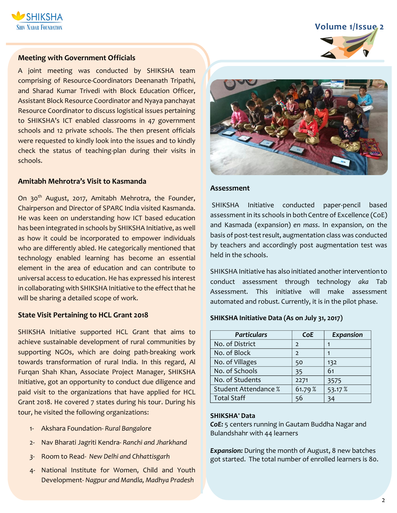

# **Volume 1/Issue 2**

### **Meeting with Government Officials**

A joint meeting was conducted by SHIKSHA team comprising of Resource-Coordinators Deenanath Tripathi, and Sharad Kumar Trivedi with Block Education Officer, Assistant Block Resource Coordinator and Nyaya panchayat Resource Coordinator to discuss logistical issues pertaining to SHIKSHA's ICT enabled classrooms in 47 government schools and 12 private schools. The then present officials were requested to kindly look into the issues and to kindly check the status of teaching-plan during their visits in schools.

### **Amitabh Mehrotra's Visit to Kasmanda**

On 30<sup>th</sup> August, 2017, Amitabh Mehrotra, the Founder, Chairperson and Director of SPARC India visited Kasmanda. He was keen on understanding how ICT based education has been integrated in schools by SHIKSHA Initiative, as well as how it could be incorporated to empower individuals who are differently abled. He categorically mentioned that technology enabled learning has become an essential element in the area of education and can contribute to universal access to education. He has expressed his interest in collaborating with SHIKSHA Initiative to the effect that he will be sharing a detailed scope of work.

#### **State Visit Pertaining to HCL Grant 2018**

SHIKSHA Initiative supported HCL Grant that aims to achieve sustainable development of rural communities by supporting NGOs, which are doing path-breaking work towards transformation of rural India. In this regard, Al Furqan Shah Khan, Associate Project Manager, SHIKSHA Initiative, got an opportunity to conduct due diligence and paid visit to the organizations that have applied for HCL Grant 2018. He covered 7 states during his tour. During his tour, he visited the following organizations:

- 1- Akshara Foundation- *Rural Bangalore*
- 2- Nav Bharati Jagriti Kendra- *Ranchi and Jharkhand*
- *3-* Room to Read- *New Delhi and Chhattisgarh*
- 4- National Institute for Women, Child and Youth Development- *Nagpur and Mandla, Madhya Pradesh*



#### **Assessment**

SHIKSHA Initiative conducted paper-pencil based assessment in its schools in both Centre of Excellence (CoE) and Kasmada (expansion) *en mass*. In expansion, on the basis of post-test result, augmentation class was conducted by teachers and accordingly post augmentation test was held in the schools.

SHIKSHA Initiative has also initiated another intervention to conduct assessment through technology *aka* Tab Assessment. This initiative will make assessment automated and robust. Currently, it is in the pilot phase.

#### **SHIKSHA Initiative Data (As on July 31, 2017)**

| <b>Particulars</b>          | <b>CoE</b>    | <b>Expansion</b> |
|-----------------------------|---------------|------------------|
| No. of District             | $\mathcal{L}$ |                  |
| No. of Block                | $\mathcal{P}$ |                  |
| No. of Villages             | 50            | 132              |
| No. of Schools              | 35            | 61               |
| No. of Students             | 2271          | 3575             |
| <b>Student Attendance %</b> | 61.79%        | 53.17 %          |
| <b>Total Staff</b>          | 56            | 34               |

#### **SHIKSHA<sup>+</sup>Data**

*CoE:* 5 centers running in Gautam Buddha Nagar and Bulandshahr with 44 learners

*Expansion:* During the month of August, 8 new batches got started. The total number of enrolled learners is 80.